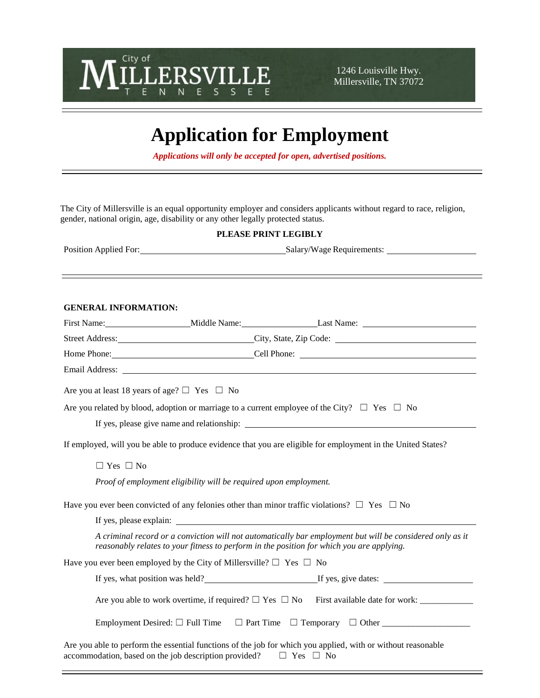

1246 Louisville Hwy. Millersville, TN 37072

# **Application for Employment**

*Applications will only be accepted for open, advertised positions.*

The City of Millersville is an equal opportunity employer and considers applicants without regard to race, religion, gender, national origin, age, disability or any other legally protected status.

#### **PLEASE PRINT LEGIBLY**

| Position Applied For: | Salary/Wage Requirements: |
|-----------------------|---------------------------|
|-----------------------|---------------------------|

#### **GENERAL INFORMATION:**

|                                                        | Street Address: City, State, Zip Code: City, State, Zip Code:                 |                                                                                                                                                                                                        |
|--------------------------------------------------------|-------------------------------------------------------------------------------|--------------------------------------------------------------------------------------------------------------------------------------------------------------------------------------------------------|
|                                                        |                                                                               |                                                                                                                                                                                                        |
|                                                        |                                                                               |                                                                                                                                                                                                        |
| Are you at least 18 years of age? $\Box$ Yes $\Box$ No |                                                                               |                                                                                                                                                                                                        |
|                                                        |                                                                               | Are you related by blood, adoption or marriage to a current employee of the City? $\square$ Yes $\square$ No                                                                                           |
|                                                        |                                                                               |                                                                                                                                                                                                        |
|                                                        |                                                                               | If employed, will you be able to produce evidence that you are eligible for employment in the United States?                                                                                           |
| $\Box$ Yes $\Box$ No                                   |                                                                               |                                                                                                                                                                                                        |
|                                                        | Proof of employment eligibility will be required upon employment.             |                                                                                                                                                                                                        |
|                                                        |                                                                               | Have you ever been convicted of any felonies other than minor traffic violations? $\square$ Yes $\square$ No                                                                                           |
|                                                        |                                                                               |                                                                                                                                                                                                        |
|                                                        |                                                                               | A criminal record or a conviction will not automatically bar employment but will be considered only as it<br>reasonably relates to your fitness to perform in the position for which you are applying. |
|                                                        | Have you ever been employed by the City of Millersville? $\Box$ Yes $\Box$ No |                                                                                                                                                                                                        |
|                                                        |                                                                               | If yes, what position was held?<br>If yes, give dates:                                                                                                                                                 |
|                                                        |                                                                               |                                                                                                                                                                                                        |
|                                                        |                                                                               |                                                                                                                                                                                                        |
|                                                        | accommodation, based on the job description provided?                         | Are you able to perform the essential functions of the job for which you applied, with or without reasonable<br>$\Box$ Yes $\Box$ No                                                                   |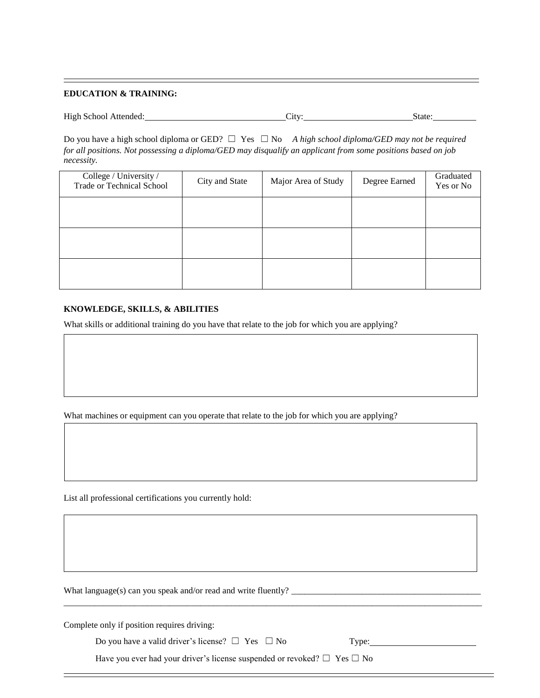#### **EDUCATION & TRAINING:**

| High School Attended: | $\mathcal{L}1\mathsf{t}\mathsf{V}$ | State: |  |
|-----------------------|------------------------------------|--------|--|
|                       |                                    |        |  |

Do you have a high school diploma or GED? ☐ Yes ☐ No *A high school diploma/GED may not be required for all positions. Not possessing a diploma/GED may disqualify an applicant from some positions based on job necessity.*

| College / University /<br><b>Trade or Technical School</b> | City and State | Major Area of Study | Degree Earned | Graduated<br>Yes or No |
|------------------------------------------------------------|----------------|---------------------|---------------|------------------------|
|                                                            |                |                     |               |                        |
|                                                            |                |                     |               |                        |
|                                                            |                |                     |               |                        |

#### **KNOWLEDGE, SKILLS, & ABILITIES**

What skills or additional training do you have that relate to the job for which you are applying?

What machines or equipment can you operate that relate to the job for which you are applying?

List all professional certifications you currently hold:

What language(s) can you speak and/or read and write fluently? \_\_\_\_\_\_\_\_\_\_\_\_\_\_\_\_\_\_\_\_\_\_\_\_\_\_\_\_\_\_\_\_\_\_\_\_\_\_\_\_\_\_\_

Complete only if position requires driving:

Do you have a valid driver's license?  $\Box$  Yes  $\Box$  No Type:

Have you ever had your driver's license suspended or revoked?  $\Box$  Yes  $\Box$  No

\_\_\_\_\_\_\_\_\_\_\_\_\_\_\_\_\_\_\_\_\_\_\_\_\_\_\_\_\_\_\_\_\_\_\_\_\_\_\_\_\_\_\_\_\_\_\_\_\_\_\_\_\_\_\_\_\_\_\_\_\_\_\_\_\_\_\_\_\_\_\_\_\_\_\_\_\_\_\_\_\_\_\_\_\_\_\_\_\_\_\_\_\_\_\_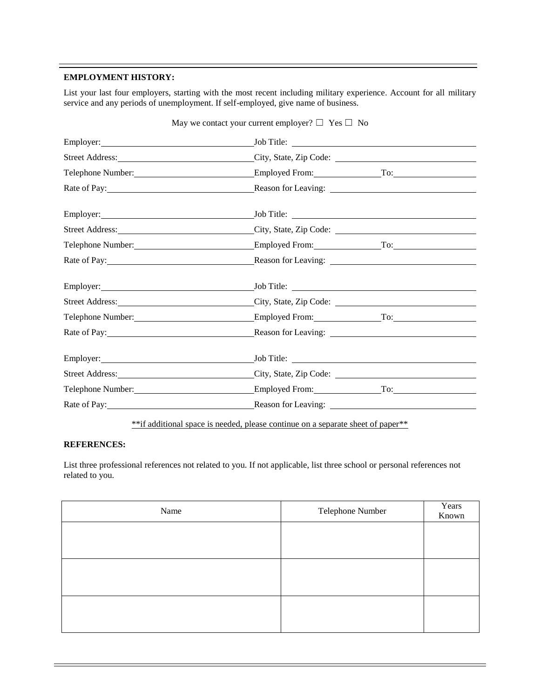#### **EMPLOYMENT HISTORY:**

List your last four employers, starting with the most recent including military experience. Account for all military service and any periods of unemployment. If self-employed, give name of business.

| May we contact your current employer? $\Box$ Yes $\Box$ No |                                                                                           |                        |  |
|------------------------------------------------------------|-------------------------------------------------------------------------------------------|------------------------|--|
|                                                            | $\text{Job Title:}$                                                                       |                        |  |
|                                                            | Street Address: City, State, Zip Code: City, State, Zip Code:                             |                        |  |
|                                                            | Telephone Number: <u>Employed From:</u> To: To:                                           |                        |  |
|                                                            | Rate of Pay: <u>Neason for Leaving:</u>                                                   |                        |  |
|                                                            |                                                                                           |                        |  |
|                                                            |                                                                                           |                        |  |
|                                                            |                                                                                           |                        |  |
| Rate of Pay: 1988                                          |                                                                                           |                        |  |
|                                                            |                                                                                           |                        |  |
|                                                            | Street Address: City, State, Zip Code: City, State Context Context City, State, Zip Code: |                        |  |
| Telephone Number: 1997                                     |                                                                                           | Employed From: To: To: |  |
|                                                            | Rate of Pay: Reason for Leaving:                                                          |                        |  |
|                                                            |                                                                                           |                        |  |
|                                                            | Street Address: City, State, Zip Code: City, State, Zip Code:                             |                        |  |
|                                                            | Telephone Number: Employed From: To: To:                                                  |                        |  |
|                                                            | Rate of Pay: Reason for Leaving:                                                          |                        |  |

\*\*if additional space is needed, please continue on a separate sheet of paper\*\*

#### **REFERENCES:**

List three professional references not related to you. If not applicable, list three school or personal references not related to you.

| Name | Telephone Number | Years<br>Known |
|------|------------------|----------------|
|      |                  |                |
|      |                  |                |
|      |                  |                |
|      |                  |                |
|      |                  |                |
|      |                  |                |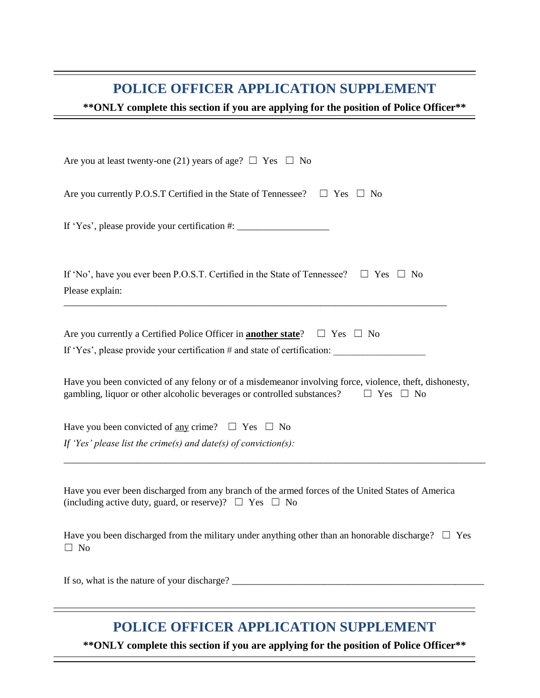### **POLICE OFFICER APPLICATION SUPPLEMENT**

**\*\*ONLY complete this section if you are applying for the position of Police Officer\*\***

| Are you at least twenty-one (21) years of age? $\Box$ Yes $\Box$ No                                                                                                                                     |  |  |
|---------------------------------------------------------------------------------------------------------------------------------------------------------------------------------------------------------|--|--|
| Are you currently P.O.S.T Certified in the State of Tennessee? $\Box$ Yes $\Box$ No                                                                                                                     |  |  |
| If 'Yes', please provide your certification #: _________________________________                                                                                                                        |  |  |
| If 'No', have you ever been P.O.S.T. Certified in the State of Tennessee? $\square$ Yes $\square$ No<br>Please explain:                                                                                 |  |  |
| Are you currently a Certified Police Officer in <b>another state</b> ? $\Box$ Yes $\Box$ No<br>If 'Yes', please provide your certification # and state of certification:                                |  |  |
| Have you been convicted of any felony or of a misdemeanor involving force, violence, theft, dishonesty,<br>gambling, liquor or other alcoholic beverages or controlled substances? $\Box$ Yes $\Box$ No |  |  |
| Have you been convicted of <u>any</u> crime? $\Box$ Yes $\Box$ No<br>If 'Yes' please list the crime(s) and date(s) of conviction(s):                                                                    |  |  |
| Have you ever been discharged from any branch of the armed forces of the United States of America<br>(including active duty, guard, or reserve)? $\Box$ Yes $\Box$ No                                   |  |  |
| Have you been discharged from the military under anything other than an honorable discharge? $\Box$ Yes<br>$\Box$ No                                                                                    |  |  |

If so, what is the nature of your discharge? \_\_\_\_\_\_\_\_\_\_\_\_\_\_\_\_\_\_\_\_\_\_\_\_\_\_\_\_\_\_\_\_\_\_\_\_\_\_\_\_\_\_\_\_\_\_\_\_\_\_\_\_

## **POLICE OFFICER APPLICATION SUPPLEMENT**

**\*\*ONLY complete this section if you are applying for the position of Police Officer\*\***